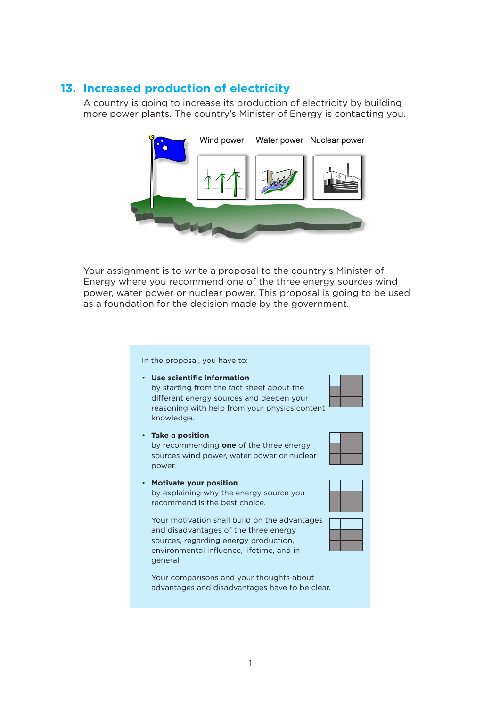## **13. Increased production of electricity**

A country is going to increase its production of electricity by building more power plants. The country's Minister of Energy is contacting you.



Your assignment is to write a proposal to the country's Minister of Energy where you recommend one of the three energy sources wind power, water power or nuclear power. This proposal is going to be used as a foundation for the decision made by the government.

In the proposal, you have to:

• **Take a position**

• **Motivate your position**

recommend is the best choice.

power.

• **Use scientific information** by starting from the fact sheet about the different energy sources and deepen your reasoning with help from your physics content knowledge.

by recommending **one** of the three energy sources wind power, water power or nuclear



by explaining why the energy source you



Your motivation shall build on the advantages and disadvantages of the three energy sources, regarding energy production, environmental influence, lifetime, and in general.

Your comparisons and your thoughts about advantages and disadvantages have to be clear.